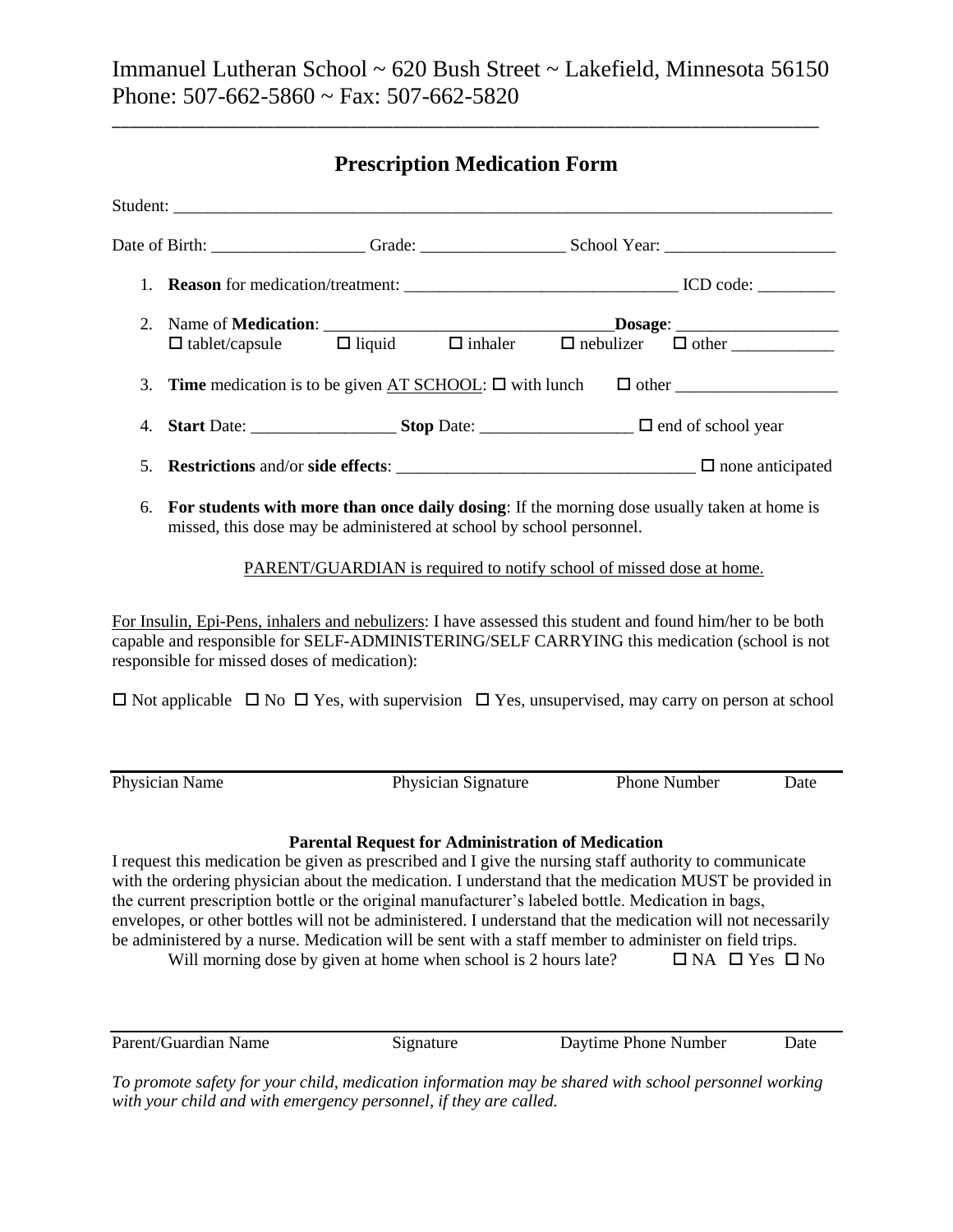\_\_\_\_\_\_\_\_\_\_\_\_\_\_\_\_\_\_\_\_\_\_\_\_\_\_\_\_\_\_\_\_\_\_\_\_\_\_\_\_\_\_\_\_\_\_\_\_\_\_\_\_\_\_\_\_\_\_\_\_\_\_\_\_\_\_\_\_\_\_\_\_\_\_\_\_\_\_\_\_\_\_\_

# **Prescription Medication Form**

| 2.                                                                                                                                                                        | Name of <b>Medication:</b><br>$\square$<br>$\square$<br>$\square$<br>$\square$<br>$\square$<br>$\square$<br>$\square$<br>$\square$<br>$\square$<br>$\square$<br>$\square$<br>$\square$<br>$\square$<br>$\square$<br>$\square$<br>$\square$<br>$\square$<br>$\square$<br>$\square$<br>$\square$<br>$\square$<br>$\square$<br>$\square$<br>$\square$<br>$\square$<br>$\square$<br>$\square$<br>$\square$<br>$\s$                                                                                                                                                                                                    |                                                          |                     |                      |                                |      |
|---------------------------------------------------------------------------------------------------------------------------------------------------------------------------|-------------------------------------------------------------------------------------------------------------------------------------------------------------------------------------------------------------------------------------------------------------------------------------------------------------------------------------------------------------------------------------------------------------------------------------------------------------------------------------------------------------------------------------------------------------------------------------------------------------------|----------------------------------------------------------|---------------------|----------------------|--------------------------------|------|
|                                                                                                                                                                           |                                                                                                                                                                                                                                                                                                                                                                                                                                                                                                                                                                                                                   |                                                          |                     |                      |                                |      |
| 3.                                                                                                                                                                        | <b>Time</b> medication is to be given $AT$ SCHOOL: $\Box$ with lunch $\Box$ other                                                                                                                                                                                                                                                                                                                                                                                                                                                                                                                                 |                                                          |                     |                      |                                |      |
| 4.                                                                                                                                                                        |                                                                                                                                                                                                                                                                                                                                                                                                                                                                                                                                                                                                                   |                                                          |                     |                      |                                |      |
| 5.                                                                                                                                                                        |                                                                                                                                                                                                                                                                                                                                                                                                                                                                                                                                                                                                                   |                                                          |                     |                      |                                |      |
| For students with more than once daily dosing: If the morning dose usually taken at home is<br>6.<br>missed, this dose may be administered at school by school personnel. |                                                                                                                                                                                                                                                                                                                                                                                                                                                                                                                                                                                                                   |                                                          |                     |                      |                                |      |
| PARENT/GUARDIAN is required to notify school of missed dose at home.                                                                                                      |                                                                                                                                                                                                                                                                                                                                                                                                                                                                                                                                                                                                                   |                                                          |                     |                      |                                |      |
|                                                                                                                                                                           | For Insulin, Epi-Pens, inhalers and nebulizers: I have assessed this student and found him/her to be both<br>capable and responsible for SELF-ADMINISTERING/SELF CARRYING this medication (school is not<br>responsible for missed doses of medication):<br>$\Box$ Not applicable $\Box$ No $\Box$ Yes, with supervision $\Box$ Yes, unsupervised, may carry on person at school                                                                                                                                                                                                                                  |                                                          |                     |                      |                                |      |
|                                                                                                                                                                           | Physician Name                                                                                                                                                                                                                                                                                                                                                                                                                                                                                                                                                                                                    |                                                          | Physician Signature |                      | Phone Number                   | Date |
|                                                                                                                                                                           | I request this medication be given as prescribed and I give the nursing staff authority to communicate<br>with the ordering physician about the medication. I understand that the medication MUST be provided in<br>the current prescription bottle or the original manufacturer's labeled bottle. Medication in bags,<br>envelopes, or other bottles will not be administered. I understand that the medication will not necessarily<br>be administered by a nurse. Medication will be sent with a staff member to administer on field trips.<br>Will morning dose by given at home when school is 2 hours late? | <b>Parental Request for Administration of Medication</b> |                     |                      | $\Box$ NA $\Box$ Yes $\Box$ No |      |
|                                                                                                                                                                           | Parent/Guardian Name                                                                                                                                                                                                                                                                                                                                                                                                                                                                                                                                                                                              | Signature                                                |                     | Daytime Phone Number |                                | Date |

*To promote safety for your child, medication information may be shared with school personnel working with your child and with emergency personnel, if they are called.*